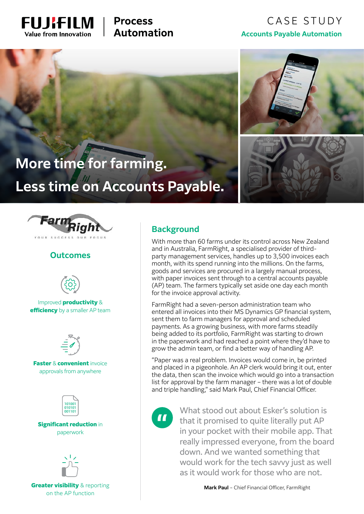

# **Process Automation**

# CASE STUDY **Accounts Payable Automation**



# **More time for farming. Less time on Accounts Payable.**



#### **Outcomes**



Improved productivity & efficiency by a smaller AP team



**Faster & convenient invoice** approvals from anywhere



Significant reduction in paperwork



**Greater visibility & reporting** on the AP function

## **Background**

With more than 60 farms under its control across New Zealand and in Australia, FarmRight, a specialised provider of thirdparty management services, handles up to 3,500 invoices each month, with its spend running into the millions. On the farms, goods and services are procured in a largely manual process, with paper invoices sent through to a central accounts payable (AP) team. The farmers typically set aside one day each month for the invoice approval activity.

FarmRight had a seven-person administration team who entered all invoices into their MS Dynamics GP financial system, sent them to farm managers for approval and scheduled payments. As a growing business, with more farms steadily being added to its portfolio, FarmRight was starting to drown in the paperwork and had reached a point where they'd have to grow the admin team, or find a better way of handling AP.

"Paper was a real problem. Invoices would come in, be printed and placed in a pigeonhole. An AP clerk would bring it out, enter the data, then scan the invoice which would go into a transaction list for approval by the farm manager – there was a lot of double and triple handling," said Mark Paul, Chief Financial Officer.



What stood out about Esker's solution is that it promised to quite literally put AP in your pocket with their mobile app. That really impressed everyone, from the board down. And we wanted something that would work for the tech savvy just as well as it would work for those who are not.